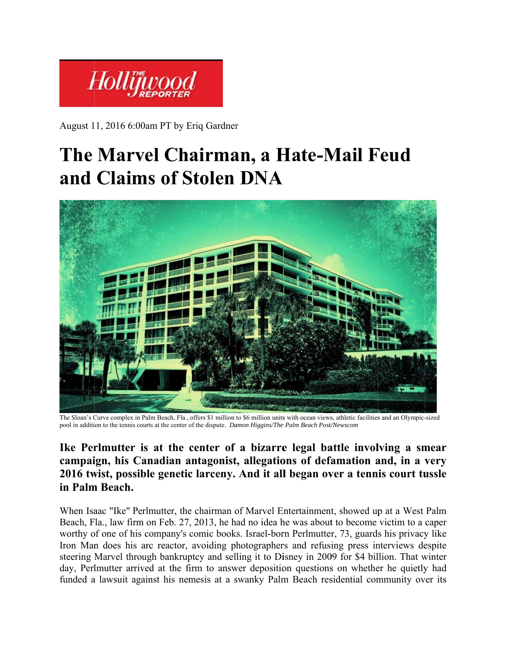

August 1 1, 2016 6:00 0am PT by E Eriq Gardner r

# **The Marvel Chairman, a Hate-Mail Feud** and Claims of Stolen DNA



The Sloan's Curve complex in Palm Beach, Fla., offers \$1 million to \$6 million units with ocean views, athletic facilities and an Olympic-sized pool in addition to the tennis courts at the center of the dispute. *Damon Higgins/The Palm Beach Post/Newscom* 

### Ike Perlmutter is at the center of a bizarre legal battle involving a smear campaign, his Canadian antagonist, allegations of defamation and, in a very 2016 twist, possible genetic larceny. And it all began over a tennis court tussle **in Palm m Beach.**

When Isaac "Ike" Perlmutter, the chairman of Marvel Entertainment, showed up at a West Palm Beach, Fla., law firm on Feb. 27, 2013, he had no idea he was about to become victim to a caper worthy of one of his company's comic books. Israel-born Perlmutter, 73, guards his privacy like Iron Man does his arc reactor, avoiding photographers and refusing press interviews despite steering Marvel through bankruptcy and selling it to Disney in 2009 for \$4 billion. That winter day, Perlmutter arrived at the firm to answer deposition questions on whether he quietly had funded a lawsuit against his nemesis at a swanky Palm Beach residential community over its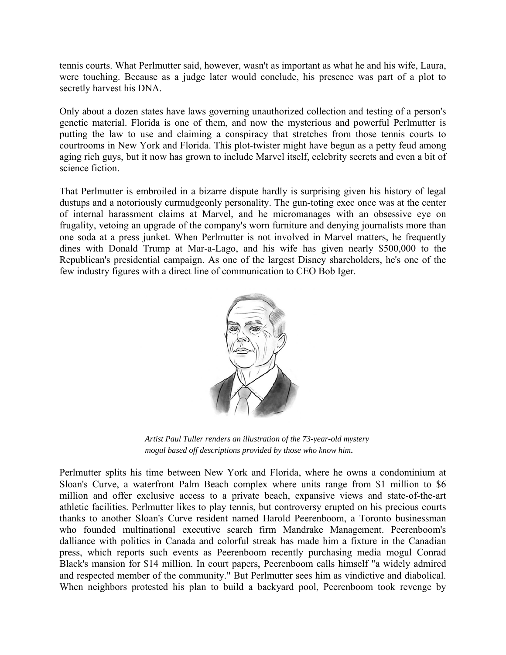tennis courts. What Perlmutter said, however, wasn't as important as what he and his wife, Laura, were touching. Because as a judge later would conclude, his presence was part of a plot to secretly harvest his DNA.

Only about a dozen states have laws governing unauthorized collection and testing of a person's genetic material. Florida is one of them, and now the mysterious and powerful Perlmutter is putting the law to use and claiming a conspiracy that stretches from those tennis courts to courtrooms in New York and Florida. This plot-twister might have begun as a petty feud among aging rich guys, but it now has grown to include Marvel itself, celebrity secrets and even a bit of science fiction.

That Perlmutter is embroiled in a bizarre dispute hardly is surprising given his history of legal dustups and a notoriously curmudgeonly personality. The gun-toting exec once was at the center of internal harassment claims at Marvel, and he micromanages with an obsessive eye on frugality, vetoing an upgrade of the company's worn furniture and denying journalists more than one soda at a press junket. When Perlmutter is not involved in Marvel matters, he frequently dines with Donald Trump at Mar-a-Lago, and his wife has given nearly \$500,000 to the Republican's presidential campaign. As one of the largest Disney shareholders, he's one of the few industry figures with a direct line of communication to CEO Bob Iger.



*Artist Paul Tuller renders an illustration of the 73-year-old mystery mogul based off descriptions prov*i*ded by those who know him.*

Perlmutter splits his time between New York and Florida, where he owns a condominium at Sloan's Curve, a waterfront Palm Beach complex where units range from \$1 million to \$6 million and offer exclusive access to a private beach, expansive views and state-of-the-art athletic facilities. Perlmutter likes to play tennis, but controversy erupted on his precious courts thanks to another Sloan's Curve resident named Harold Peerenboom, a Toronto businessman who founded multinational executive search firm Mandrake Management. Peerenboom's dalliance with politics in Canada and colorful streak has made him a fixture in the Canadian press, which reports such events as Peerenboom recently purchasing media mogul Conrad Black's mansion for \$14 million. In court papers, Peerenboom calls himself "a widely admired and respected member of the community." But Perlmutter sees him as vindictive and diabolical. When neighbors protested his plan to build a backyard pool, Peerenboom took revenge by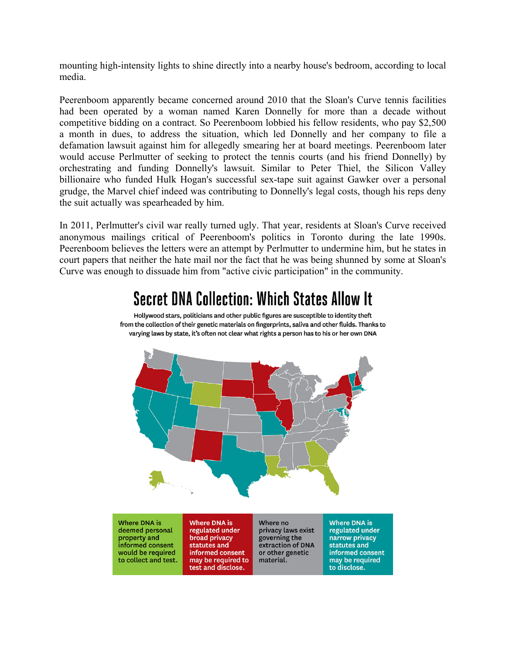mounting high-intensity lights to shine directly into a nearby house's bedroom, according to local media.

Peerenboom apparently became concerned around 2010 that the Sloan's Curve tennis facilities had been operated by a woman named Karen Donnelly for more than a decade without competitive bidding on a contract. So Peerenboom lobbied his fellow residents, who pay \$2,500 a month in dues, to address the situation, which led Donnelly and her company to file a defamation lawsuit against him for allegedly smearing her at board meetings. Peerenboom later would accuse Perlmutter of seeking to protect the tennis courts (and his friend Donnelly) by orchestrating and funding Donnelly's lawsuit. Similar to Peter Thiel, the Silicon Valley billionaire who funded Hulk Hogan's successful sex-tape suit against Gawker over a personal grudge, the Marvel chief indeed was contributing to Donnelly's legal costs, though his reps deny the suit actually was spearheaded by him.

In 2011, Perlmutter's civil war really turned ugly. That year, residents at Sloan's Curve received anonymous mailings critical of Peerenboom's politics in Toronto during the late 1990s. Peerenboom believes the letters were an attempt by Perlmutter to undermine him, but he states in court papers that neither the hate mail nor the fact that he was being shunned by some at Sloan's Curve was enough to dissuade him from "active civic participation" in the community.

## **Secret DNA Collection: Which States Allow It**

Hollywood stars, politicians and other public figures are susceptible to identity theft from the collection of their genetic materials on fingerprints, saliva and other fluids. Thanks to varying laws by state, it's often not clear what rights a person has to his or her own DNA



Where DNA is deemed personal property and<br>informed consent would be required to collect and test.

Where DNA is regulated under broad privacy statutes and informed consent may be required to test and disclose.

Where no privacy laws exist governing the extraction of DNA or other genetic material.

**Where DNA is** regulated under narrow privacy statutes and informed consent may be required to disclose.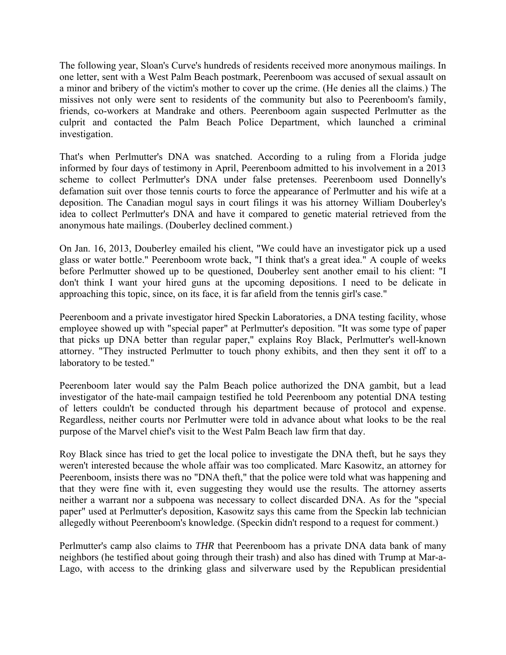The following year, Sloan's Curve's hundreds of residents received more anonymous mailings. In one letter, sent with a West Palm Beach postmark, Peerenboom was accused of sexual assault on a minor and bribery of the victim's mother to cover up the crime. (He denies all the claims.) The missives not only were sent to residents of the community but also to Peerenboom's family, friends, co-workers at Mandrake and others. Peerenboom again suspected Perlmutter as the culprit and contacted the Palm Beach Police Department, which launched a criminal investigation.

That's when Perlmutter's DNA was snatched. According to a ruling from a Florida judge informed by four days of testimony in April, Peerenboom admitted to his involvement in a 2013 scheme to collect Perlmutter's DNA under false pretenses. Peerenboom used Donnelly's defamation suit over those tennis courts to force the appearance of Perlmutter and his wife at a deposition. The Canadian mogul says in court filings it was his attorney William Douberley's idea to collect Perlmutter's DNA and have it compared to genetic material retrieved from the anonymous hate mailings. (Douberley declined comment.)

On Jan. 16, 2013, Douberley emailed his client, "We could have an investigator pick up a used glass or water bottle." Peerenboom wrote back, "I think that's a great idea." A couple of weeks before Perlmutter showed up to be questioned, Douberley sent another email to his client: "I don't think I want your hired guns at the upcoming depositions. I need to be delicate in approaching this topic, since, on its face, it is far afield from the tennis girl's case."

Peerenboom and a private investigator hired Speckin Laboratories, a DNA testing facility, whose employee showed up with "special paper" at Perlmutter's deposition. "It was some type of paper that picks up DNA better than regular paper," explains Roy Black, Perlmutter's well-known attorney. "They instructed Perlmutter to touch phony exhibits, and then they sent it off to a laboratory to be tested."

Peerenboom later would say the Palm Beach police authorized the DNA gambit, but a lead investigator of the hate-mail campaign testified he told Peerenboom any potential DNA testing of letters couldn't be conducted through his department because of protocol and expense. Regardless, neither courts nor Perlmutter were told in advance about what looks to be the real purpose of the Marvel chief's visit to the West Palm Beach law firm that day.

Roy Black since has tried to get the local police to investigate the DNA theft, but he says they weren't interested because the whole affair was too complicated. Marc Kasowitz, an attorney for Peerenboom, insists there was no "DNA theft," that the police were told what was happening and that they were fine with it, even suggesting they would use the results. The attorney asserts neither a warrant nor a subpoena was necessary to collect discarded DNA. As for the "special paper" used at Perlmutter's deposition, Kasowitz says this came from the Speckin lab technician allegedly without Peerenboom's knowledge. (Speckin didn't respond to a request for comment.)

Perlmutter's camp also claims to *THR* that Peerenboom has a private DNA data bank of many neighbors (he testified about going through their trash) and also has dined with Trump at Mar-a-Lago, with access to the drinking glass and silverware used by the Republican presidential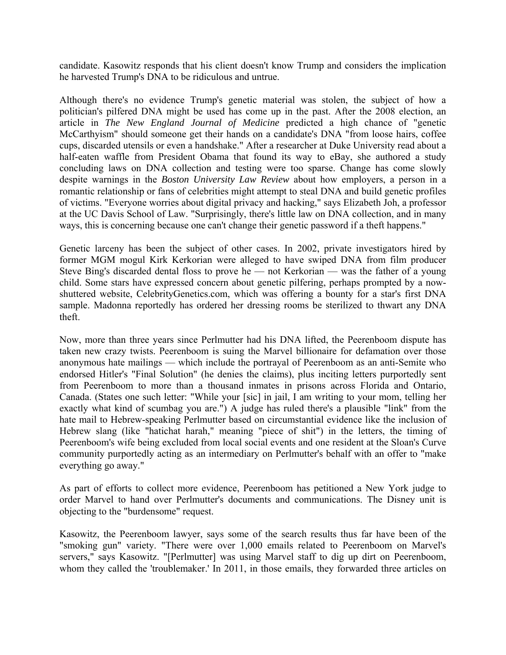candidate. Kasowitz responds that his client doesn't know Trump and considers the implication he harvested Trump's DNA to be ridiculous and untrue.

Although there's no evidence Trump's genetic material was stolen, the subject of how a politician's pilfered DNA might be used has come up in the past. After the 2008 election, an article in *The New England Journal of Medicine* predicted a high chance of "genetic McCarthyism" should someone get their hands on a candidate's DNA "from loose hairs, coffee cups, discarded utensils or even a handshake." After a researcher at Duke University read about a half-eaten waffle from President Obama that found its way to eBay, she authored a study concluding laws on DNA collection and testing were too sparse. Change has come slowly despite warnings in the *Boston University Law Review* about how employers, a person in a romantic relationship or fans of celebrities might attempt to steal DNA and build genetic profiles of victims. "Everyone worries about digital privacy and hacking," says Elizabeth Joh, a professor at the UC Davis School of Law. "Surprisingly, there's little law on DNA collection, and in many ways, this is concerning because one can't change their genetic password if a theft happens."

Genetic larceny has been the subject of other cases. In 2002, private investigators hired by former MGM mogul Kirk Kerkorian were alleged to have swiped DNA from film producer Steve Bing's discarded dental floss to prove he — not Kerkorian — was the father of a young child. Some stars have expressed concern about genetic pilfering, perhaps prompted by a nowshuttered website, CelebrityGenetics.com, which was offering a bounty for a star's first DNA sample. Madonna reportedly has ordered her dressing rooms be sterilized to thwart any DNA theft.

Now, more than three years since Perlmutter had his DNA lifted, the Peerenboom dispute has taken new crazy twists. Peerenboom is suing the Marvel billionaire for defamation over those anonymous hate mailings — which include the portrayal of Peerenboom as an anti-Semite who endorsed Hitler's "Final Solution" (he denies the claims), plus inciting letters purportedly sent from Peerenboom to more than a thousand inmates in prisons across Florida and Ontario, Canada. (States one such letter: "While your [sic] in jail, I am writing to your mom, telling her exactly what kind of scumbag you are.") A judge has ruled there's a plausible "link" from the hate mail to Hebrew-speaking Perlmutter based on circumstantial evidence like the inclusion of Hebrew slang (like "hatichat harah," meaning "piece of shit") in the letters, the timing of Peerenboom's wife being excluded from local social events and one resident at the Sloan's Curve community purportedly acting as an intermediary on Perlmutter's behalf with an offer to "make everything go away."

As part of efforts to collect more evidence, Peerenboom has petitioned a New York judge to order Marvel to hand over Perlmutter's documents and communications. The Disney unit is objecting to the "burdensome" request.

Kasowitz, the Peerenboom lawyer, says some of the search results thus far have been of the "smoking gun" variety. "There were over 1,000 emails related to Peerenboom on Marvel's servers," says Kasowitz. "[Perlmutter] was using Marvel staff to dig up dirt on Peerenboom, whom they called the 'troublemaker.' In 2011, in those emails, they forwarded three articles on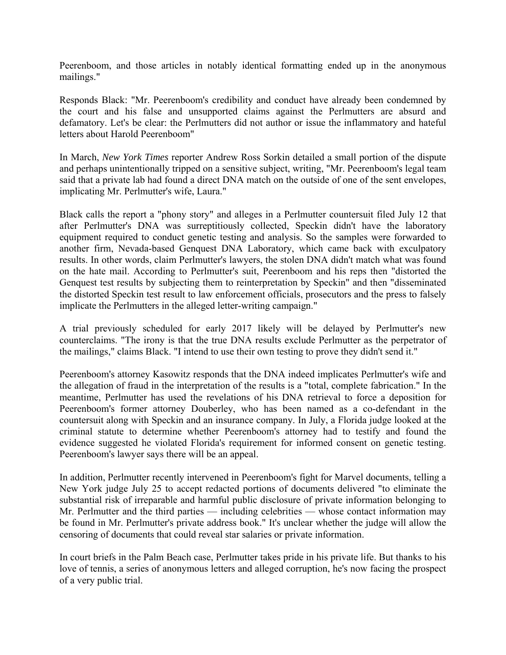Peerenboom, and those articles in notably identical formatting ended up in the anonymous mailings."

Responds Black: "Mr. Peerenboom's credibility and conduct have already been condemned by the court and his false and unsupported claims against the Perlmutters are absurd and defamatory. Let's be clear: the Perlmutters did not author or issue the inflammatory and hateful letters about Harold Peerenboom"

In March, *New York Times* reporter Andrew Ross Sorkin detailed a small portion of the dispute and perhaps unintentionally tripped on a sensitive subject, writing, "Mr. Peerenboom's legal team said that a private lab had found a direct DNA match on the outside of one of the sent envelopes, implicating Mr. Perlmutter's wife, Laura."

Black calls the report a "phony story" and alleges in a Perlmutter countersuit filed July 12 that after Perlmutter's DNA was surreptitiously collected, Speckin didn't have the laboratory equipment required to conduct genetic testing and analysis. So the samples were forwarded to another firm, Nevada-based Genquest DNA Laboratory, which came back with exculpatory results. In other words, claim Perlmutter's lawyers, the stolen DNA didn't match what was found on the hate mail. According to Perlmutter's suit, Peerenboom and his reps then "distorted the Genquest test results by subjecting them to reinterpretation by Speckin" and then "disseminated the distorted Speckin test result to law enforcement officials, prosecutors and the press to falsely implicate the Perlmutters in the alleged letter-writing campaign."

A trial previously scheduled for early 2017 likely will be delayed by Perlmutter's new counterclaims. "The irony is that the true DNA results exclude Perlmutter as the perpetrator of the mailings," claims Black. "I intend to use their own testing to prove they didn't send it."

Peerenboom's attorney Kasowitz responds that the DNA indeed implicates Perlmutter's wife and the allegation of fraud in the interpretation of the results is a "total, complete fabrication." In the meantime, Perlmutter has used the revelations of his DNA retrieval to force a deposition for Peerenboom's former attorney Douberley, who has been named as a co-defendant in the countersuit along with Speckin and an insurance company. In July, a Florida judge looked at the criminal statute to determine whether Peerenboom's attorney had to testify and found the evidence suggested he violated Florida's requirement for informed consent on genetic testing. Peerenboom's lawyer says there will be an appeal.

In addition, Perlmutter recently intervened in Peerenboom's fight for Marvel documents, telling a New York judge July 25 to accept redacted portions of documents delivered "to eliminate the substantial risk of irreparable and harmful public disclosure of private information belonging to Mr. Perlmutter and the third parties — including celebrities — whose contact information may be found in Mr. Perlmutter's private address book." It's unclear whether the judge will allow the censoring of documents that could reveal star salaries or private information.

In court briefs in the Palm Beach case, Perlmutter takes pride in his private life. But thanks to his love of tennis, a series of anonymous letters and alleged corruption, he's now facing the prospect of a very public trial.